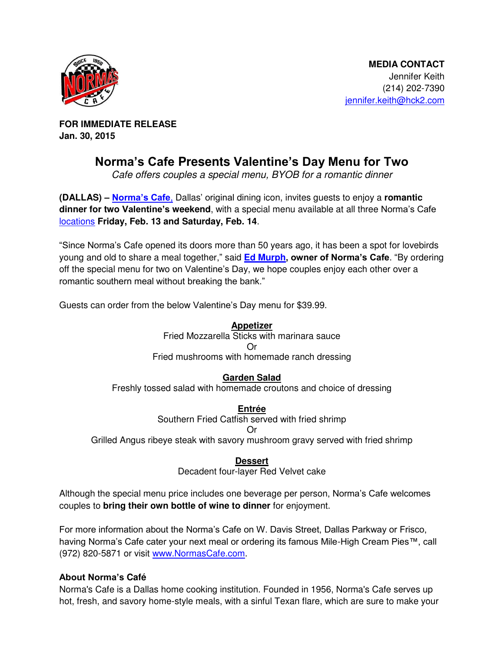

**FOR IMMEDIATE RELEASE Jan. 30, 2015** 

## **Norma's Cafe Presents Valentine's Day Menu for Two**

*Cafe offers couples a special menu, BYOB for a romantic dinner* 

**(DALLAS) – [Norma's Cafe](http://normascafe.com/)**, Dallas' original dining icon, invites guests to enjoy a **romantic dinner for two Valentine's weekend**, with a special menu available at all three Norma's Cafe [locations](http://normascafe.com/locations/) **Friday, Feb. 13 and Saturday, Feb. 14**.

"Since Norma's Cafe opened its doors more than 50 years ago, it has been a spot for lovebirds young and old to share a meal together," said **[Ed Murph](http://www.normascafe.com/about/), owner of Norma's Cafe**. "By ordering off the special menu for two on Valentine's Day, we hope couples enjoy each other over a romantic southern meal without breaking the bank."

Guests can order from the below Valentine's Day menu for \$39.99.

**Appetizer**

Fried Mozzarella Sticks with marinara sauce Or Fried mushrooms with homemade ranch dressing

**Garden Salad**

Freshly tossed salad with homemade croutons and choice of dressing

**Entrée**

Southern Fried Catfish served with fried shrimp Or

Grilled Angus ribeye steak with savory mushroom gravy served with fried shrimp

**Dessert**

Decadent four-layer Red Velvet cake

Although the special menu price includes one beverage per person, Norma's Cafe welcomes couples to **bring their own bottle of wine to dinner** for enjoyment.

For more information about the Norma's Cafe on W. Davis Street, Dallas Parkway or Frisco, having Norma's Cafe cater your next meal or ordering its famous Mile-High Cream Pies™, call (972) 820-5871 or visit [www.NormasCafe.com.](http://www.normascafe.com/)

## **About Norma's Café**

Norma's Cafe is a Dallas home cooking institution. Founded in 1956, Norma's Cafe serves up hot, fresh, and savory home-style meals, with a sinful Texan flare, which are sure to make your